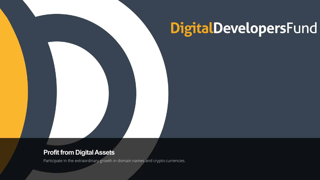### DigitalDevelopersFund

#### Profit from Digital Assets

Participate in the extraordinary growth in domain names and crypto currencies.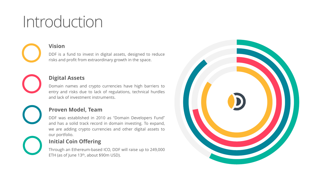### Introduction

**Vision**

DDF is a fund to invest in digital assets, designed to reduce risks and profit from extraordinary growth in the space.

#### **Digital Assets**

Domain names and crypto currencies have high barriers to entry and risks due to lack of regulations, technical hurdles and lack of investment instruments.

#### **Proven Model, Team**

DDF was established in 2010 as "Domain Developers Fund" and has a solid track record in domain investing. To expand, we are adding crypto currencies and other digital assets to our portfolio.

#### **Initial Coin Offering**

Through an Ethereum-based ICO, DDF will raise up to 249,000 ETH (as of June 13th, about \$90m USD).

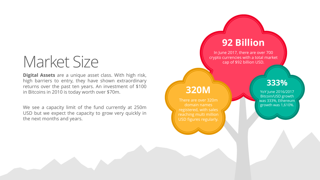### Market Size

**Digital Assets** are a unique asset class. With high risk, high barriers to entry, they have shown extraordinary returns over the past ten years. An investment of \$100 in Bitcoins in 2010 is today worth over \$70m.

We see a capacity limit of the fund currently at 250m USD but we expect the capacity to grow very quickly in the next months and years.

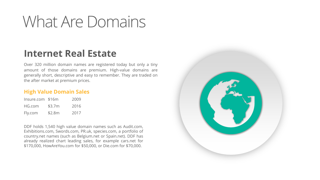### What Are Domains

### **Internet Real Estate**

Over 320 million domain names are registered today but only a tiny amount of those domains are premium. High-value domains are generally short, descriptive and easy to remember. They are traded on the after market at premium prices.

#### **High Value Domain Sales**

| Insure.com \$16m |        | 2009 |
|------------------|--------|------|
| HG.com           | \$3.7m | 2016 |
| Fly.com          | \$2.8m | 2017 |

DDF holds 1,540 high value domain names such as Audit.com, Exhibitions.com, Swords.com, PR.uk, species.com, a portfolio of country.net names (such as Belgium.net or Spain.net). DDF has already realized chart leading sales, for example cars.net for \$170,000, HowAreYou.com for \$50,000, or Die.com for \$70,000.

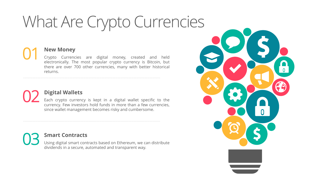### What Are Crypto Currencies

#### **New Money**

Crypto Currencies are digital money, created and held electronically. The most popular crypto currency is Bitcoin, but there are over 700 other currencies, many with better historical returns.

#### **Digital Wallets** 02

01

Each crypto currency is kept in a digital wallet specific to the currency. Few investors hold funds in more than a few currencies, since wallet management becomes risky and cumbersome.

**Smart Contracts** Using digital smart contracts based on Ethereum, we can distribute

dividends in a secure, automated and transparent way.

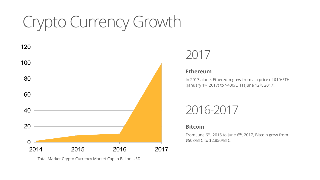# Crypto Currency Growth



Total Market Crypto Currency Market Cap in Billion USD

### 2017

#### **Ethereum**

In 2017 alone, Ethereum grew from a a price of \$10/ETH (January 1<sup>st</sup>, 2017) to \$400/ETH (June 12<sup>th</sup>, 2017).

### 2016-2017

#### **Bitcoin**

From June 6<sup>th</sup>, 2016 to June 6<sup>th</sup>, 2017, Bitcoin grew from \$508/BTC to \$2,850/BTC.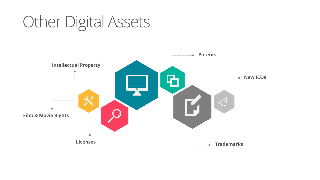### Other Digital Assets

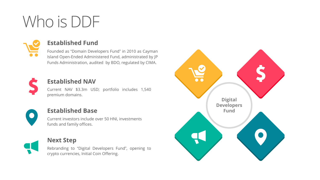# Who is DDF



#### **Established Fund**

Founded as "Domain Developers Fund" in 2010 as Cayman Island Open-Ended Administered Fund, administrated by JP Funds Administration, audited by BDO, regulated by CIMA.



#### **Established NAV**

Current NAV \$3.3m USD; portfolio includes 1,540 premium domains.



#### **Established Base**

Current investors include over 50 HNI, investments funds and family offices.



#### **Next Step**

Rebranding to "Digital Developers Fund", opening to crypto currencies, Initial Coin Offering.

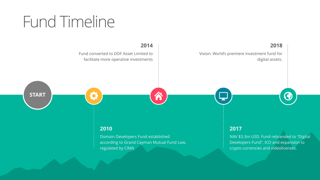### Fund Timeline

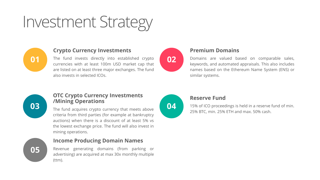### Investment Strategy



#### **Crypto Currency Investments**

**01** The fund invests directly into established crypto **02** currencies with at least 100m USD market cap that are listed on at least three major exchanges. The fund also invests in selected ICOs.



#### **Premium Domains**

Domains are valued based on comparable sales, keywords, and automated appraisals. This also includes names based on the Ethereum Name System (ENS) or similar systems.



**05**

#### **OTC Crypto Currency Investments /Mining Operations**

**03** The fund acquires crypto currency that meets above **04** criteria from third parties (for example at bankruptcy auctions) when there is a discount of at least 5% vs the lowest exchange price. The fund will also invest in mining operations.

#### **Income Producing Domain Names**

Revenue generating domains (from parking or advertising) are acquired at max 30x monthly multiple (ttm).



#### **Reserve Fund**

15% of ICO proceedings is held in a reserve fund of min. 25% BTC, min. 25% ETH and max. 50% cash.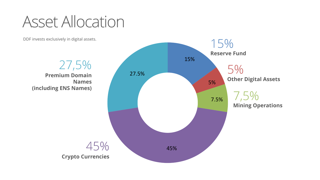Asset Allocation

DDF invests exclusively in digital assets.

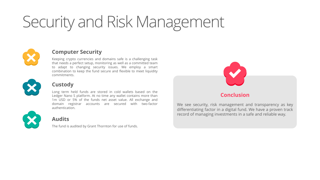# Security and Risk Management



#### **Computer Security**

Keeping crypto currencies and domains safe is a challenging task that needs a perfect setup, monitoring as well as a committed team to adapt to changing security issues. We employ a smart combination to keep the fund secure and flexible to meet liquidity commitments.



#### **Custody**

Long term held funds are stored in cold wallets based on the Ledger Nano S platform. At no time any wallet contains more than 1m USD or 5% of the funds net asset value. All exchange and domain registrar accounts are secured with two-factor authentication.



#### **Audits**

The fund is audited by Grant Thornton for use of funds.



We see security, risk management and transparency as key differentiating factor in a digital fund. We have a proven track record of managing investments in a safe and reliable way.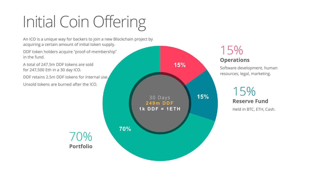# Initial Coin Offering

An ICO is a unique way for backers to join a new Blockchain project by acquiring a certain amount of initial token supply.

DDF token holders acquire "proof-of-membership" in the fund.

A total of 247.5m DDF tokens are sold for 247,500 Eth in a 30 day ICO.

DDF retains 2.5m DDF tokens for internal use. Unsold tokens are burned after the ICO.

> 70% **Portfolio**



#### 15% **Operations**

Software development, human resources, legal, marketing.



Held in BTC, ETH, Cash.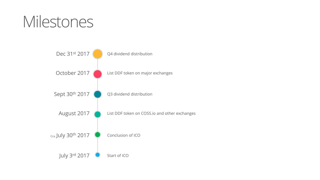### Milestones

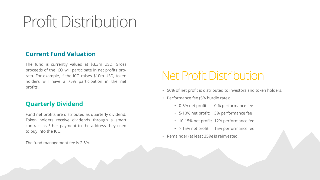### Profit Distribution

#### **Current Fund Valuation**

The fund is currently valued at \$3.3m USD. Gross proceeds of the ICO will participate in net profits prorata. For example, if the ICO raises \$10m USD, token holders will have a 75% participation in the net profits.

#### **Quarterly Dividend**

Fund net profits are distributed as quarterly dividend. Token holders receive dividends through a smart contract as Ether payment to the address they used to buy into the ICO.

The fund management fee is 2.5%.

### Net Profit Distribution

- 50% of net profit is distributed to investors and token holders.
- Performance fee (5% hurdle rate):
	- 0-5% net profit: 0 % performance fee
	- 5-10% net profit: 5% performance fee
	- 10-15% net profit: 12% performance fee
	- > 15% net profit: 15% performance fee
- Remainder (at least 35%) is reinvested.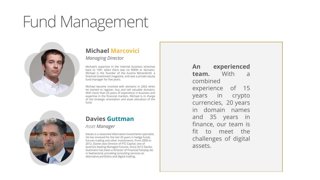### Fund Management



#### **Michael Marcovici**

*Managing Director*

Michael's expertise in the Internet business stretches back to 1991 when there was no WWW or domains. Michael is the founder of the Austria Börsenbrief, a financial investment magazine, and was a private equity fund manager for five years.

Michael became involved with domains in 2002 when he started to register, buy and sell valuable domains. With more than 20 years of experience in business and expertise in the financial markets, Michael is in charge of the strategic orientation and asset allocation of the fund.



#### **Davies Guttman**

*Asset Manager*

Davies is a seasoned Alternative Investments specialist. He has involved for the last 20 years in hedge funds, futures trading and other investments. From 2008 to 2012, Davies was Director of FTC Capital, one of Austria's leading Managed Futures. Since 2012 Davies Guttmann has been a Director of Financial Fairplay AG in Switzerland, providing consulting services on alternative portfolios and digital trading.

**An experienced team.** With a combined experience of 15 years in crypto currencies, 20 years in domain names and 35 years in finance, our team is fit to meet the challenges of digital assets.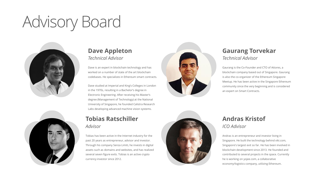## Advisory Board





#### **Dave Appleton** *Technical Advisor*

Dave is an expert in blockchain technology and has worked on a number of state of the art blockchain codebases. He specializes in Ethereum smart contracts.

Dave studied at Imperial and King's Colleges in London in the 1970s, resulting in a Bachelor's degree in Electronic Engineering. After receiving his Master's degree (Management of Technology) at the National University of Singapore, he founded Calistra Research Labs developing advanced machine vision systems.

#### **Tobias Ratschiller** *Advisor*

Tobias has been active in the Internet industry for the past 20 years as entrepreneur, advisor and investor. Through his company Senza Limiti, he invests in digital assets such as domains and websites, and has realized several seven figure exits. Tobias is an active crypto currency investor since 2012.



#### **Gaurang Torvekar** *Technical Advisor*

Gaurang is the Co-Founder and CTO of Attores, a blockchain company based out of Singapore. Gaurang is also the co-organizer of the Ethereum Singapore Meetup. He has been active in the Singapore Ethereum community since the very beginning and is considered an expert on Smart Contracts.



#### **Andras Kristof** *ICO Advisor*

Andras is an entrepreneur and investor living in Singapore. He built the technology behind viki.com, Singapore's largest exit so far. He has been involved in blockchain development since 2013. He founded and contributed to several projects in the space. Currently he is working on yojee.com, a collaborative economy/logistics company, utilizing Ethereum.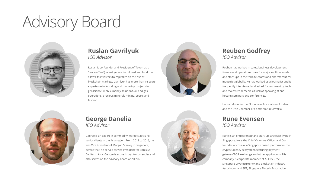### Advisory Board



#### **Ruslan Gavrilyuk** *ICO Advisor*

Ruslan is co-founder and President of Token-as-a-Service (TaaS), a last generation closed end fund that allows its investors to capitalize on the rise of blockchain markets. Gavrilyuk has more than 14 years' experience in founding and managing projects in geoscience, mobile money solutions, oil and gas operations, precious minerals mining, sports and fashion.



#### **Reuben Godfrey** *ICO Advisor*

Reuben has worked in sales, business development, finance and operations roles for major multinationals and start-ups in the tech, telecoms and pharmaceutical industries globally. He has worked as a journalist and is frequently interviewed and asked for comment by tech and mainstream media as well as speaking at and hosting seminars and conferences.

He is co-founder the Blockchain Association of Ireland and the Irish Chamber of Commerce in Slovakia.

#### **Rune Evensen** *ICO Advisor*

Rune is an entrepreneur and start-up strategist living in Singapore. He is the Chief Visionary Officer and Cofounder of coss.io, a Singapore based platform for the cryptocurrency ecosystem, featuring payment gateway/POS, exchange and other applications. His company is corporate member of ACCESS, the Singapore Cryptocurrency and Blockchain Industry Association and SFA, Singapore Fintech Association.



#### **George Danelia** *ICO Advisor*

George is an expert in commodity markets advising senior clients in the Asia region. From 2013 to 2016, he was Vice President of Morgan Stanley in Singapore; before that, he served as Vice President for Barclays Capital in Asia. George is active in crypto currencies and also serves on the advisory board of ZrCoin.

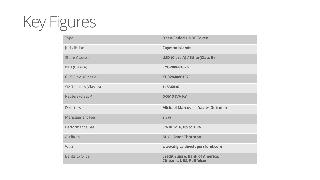# Key Figures

| <b>Type</b>            | <b>Open-Ended + DDF Token</b>                                       |
|------------------------|---------------------------------------------------------------------|
| Jurisdiction           | <b>Cayman Islands</b>                                               |
| <b>Share Classes</b>   | <b>USD (Class A) / Ether(Class B)</b>                               |
| ISIN (Class A)         | KYG280681076                                                        |
| CUSIP No. (Class A)    | XD0284888167                                                        |
| SIX Telekurs (Class A) | 11536830                                                            |
| Reuters (Class A)      | <b>DOMDEVA KY</b>                                                   |
| <b>Directors</b>       | <b>Michael Marcovici, Davies Guttman</b>                            |
| Management Fee         | 2.5%                                                                |
| Performance Fee        | 5% hurdle, up to 15%                                                |
| <b>Auditors</b>        | <b>BDO, Grant Thornton</b>                                          |
| Web                    | www.digitaldevelopersfund.com                                       |
| <b>Banks to Order</b>  | <b>Credit Suisse, Bank of America,</b><br>Citibank, UBS, Raiffeisen |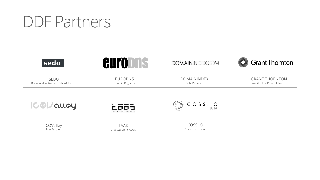### DDF Partners

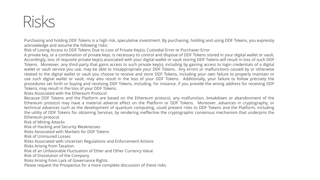### Risks

Purchasing and holding DDF Tokens is a high risk, speculative investment. By purchasing, holding and using DDF Tokens, you expressly acknowledge and assume the following risks:

Risk of Losing Access to DDF Tokens Due to Loss of Private Key(s), Custodial Error or Purchaser Error

A private key, or a combination of private keys, is necessary to control and dispose of DDF Tokens stored in your digital wallet or vault. Accordingly, loss of requisite private key(s) associated with your digital wallet or vault storing DDF Tokens will result in loss of such DDF Tokens. Moreover, any third party that gains access to such private key(s), including by gaining access to login credentials of a digital wallet or vault service you use, may be able to misappropriate your DDF Tokens. Any errors or malfunctions caused by or otherwise related to the digital wallet or vault you choose to receive and store DDF Tokens, including your own failure to properly maintain or use such digital wallet or vault, may also result in the loss of your DDF Tokens. Additionally, your failure to follow precisely the procedures set forth or buying and receiving DDF Tokens, including, for instance, if you provide the wrong address for receiving DDF Tokens, may result in the loss of your DDF Tokens.

Risks Associated with the Ethereum Protocol

Because DDF Tokens and the Platform are based on the Ethereum protocol, any malfunction, breakdown or abandonment of the Ethereum protocol may have a material adverse effect on the Platform or DDF Tokens. Moreover, advances in cryptography, or technical advances such as the development of quantum computing, could present risks to DDF Tokens and the Platform, including the utility of DDF Tokens for obtaining Services, by rendering ineffective the cryptographic consensus mechanism that underpins the Ethereum protocol.

Risk of Mining Attacks

Risk of Hacking and Security Weaknesses

Risks Associated with Markets for DDF Tokens

Risk of Uninsured Losses

Risks Associated with Uncertain Regulations and Enforcement Actions

Risks Arising from Taxation

Risk of an Unfavorable Fluctuation of Ether and Other Currency Value

Risk of Dissolution of the Company

Risks Arising from Lack of Governance Rights

Please request the Prospectus for a more complete discussion of these risks.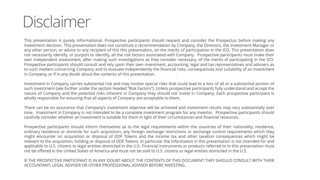### Disclaimer

This presentation is purely informational. Prospective participants should request and consider the Prospectus before making any investment decision. This presentation does not constitute a recommendation by Company, the Directors, the Investment Manager or any other person, or advice to any recipient of this this presentation, on the merits of participation in the ICO. This presentation does not necessarily identify, or purport to identify, all the risk factors associated with Company. Prospective participants must make their own independent assessment, after making such investigations as they consider necessary, of the merits of participating in the ICO. Prospective participants should consult and rely upon their own investment, accounting, legal and tax representatives and advisers as to such matters concerning Company and to evaluate independently the financial risks, consequences and suitability of an investment in Company, or if in any doubt about the contents of this presentation.

Investment in Company carries substantial risk and may involve special risks that could lead to a loss of all or a substantial portion of such investment (see further under the section headed "Risk Factors"). Unless prospective participants fully understand and accept the nature of Company and the potential risks inherent in Company they should not invest in Company. Each prospective participant is wholly responsible for ensuring that all aspects of Company are acceptable to them.

There can be no assurance that Company's investment objective will be achieved and investment results may vary substantially over time. Investment in Company is not intended to be a complete investment program for any investor. Prospective participants should carefully consider whether an investment is suitable for them in light of their circumstances and financial resources.

Prospective participants should inform themselves as to the legal requirements within the countries of their nationality, residence, ordinary residence or domicile for such acquisition, any foreign exchange restrictions or exchange control requirements which they might encounter on acquisition or disposal of DDF Tokens and the income tax and other taxation consequences which might be relevant to the acquisition, holding or disposal of DDF Tokens. In particular the information in this presentation is not intended for and applicable to U.S. citizens or legal entities domiciled in the U.S. Financial instruments or products referred to in this presentation must not be offered in the United States of America and must not be sold to U.S. citizens or legal entities domiciled in the U.S.

IF THE PROSPECTIVE PARTICIPANT IS IN ANY DOUBT ABOUT THE CONTENTS OF THIS DOCUMENT THEY SHOULD CONSULT WITH THEIR ACCOUNTANT, LEGAL ADVISER OR OTHER PROFESSIONAL ADVISER BEFORE INVESTING.